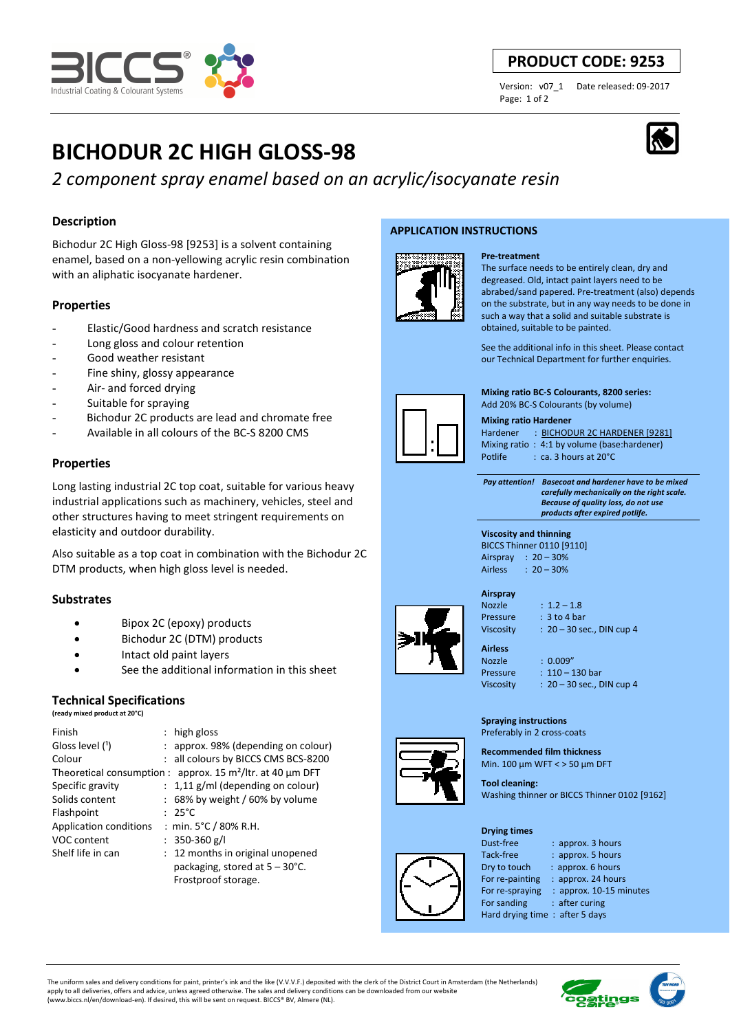

# **Description**

Industrial Coating & Colourant Systems

Bichodur 2C High Gloss-98 [9253] is a solvent containing enamel, based on a non-yellowing acrylic resin combination with an aliphatic isocyanate hardener.

# **Properties**

- Elastic/Good hardness and scratch resistance
- Long gloss and colour retention
- Good weather resistant
- Fine shiny, glossy appearance
- Air- and forced drying
- Suitable for spraying
- Bichodur 2C products are lead and chromate free
- Available in all colours of the BC-S 8200 CMS

# **Properties**

Long lasting industrial 2C top coat, suitable for various heavy industrial applications such as machinery, vehicles, steel and other structures having to meet stringent requirements on elasticity and outdoor durability.

Also suitable as a top coat in combination with the Bichodur 2C DTM products, when high gloss level is needed.

# **Substrates**

- Bipox 2C (epoxy) products
- Bichodur 2C (DTM) products
- Intact old paint layers
- See the additional information in this sheet

# **Technical Specifications**

**(ready mixed product at 20°C)**

| Finish                 | : high gloss                                                                |
|------------------------|-----------------------------------------------------------------------------|
| Gloss level (1)        | : approx. 98% (depending on colour)                                         |
| Colour                 | : all colours by BICCS CMS BCS-8200                                         |
|                        | Theoretical consumption : approx. 15 m <sup>2</sup> /ltr. at 40 $\mu$ m DFT |
| Specific gravity       | $: 1,11$ g/ml (depending on colour)                                         |
| Solids content         | $: 68\%$ by weight / 60% by volume                                          |
| Flashpoint             | $: 25^{\circ}$ C                                                            |
| Application conditions | : min. $5^{\circ}$ C / 80% R.H.                                             |
| VOC content            | : 350-360 g/l                                                               |
| Shelf life in can      | : 12 months in original unopened                                            |
|                        | packaging, stored at $5 - 30^{\circ}$ C.                                    |
|                        | Frostproof storage.                                                         |

## **APPLICATION INSTRUCTIONS**



#### **Pre-treatment** The surface needs to be entirely clean, dry and degreased. Old, intact paint layers need to be abrabed/sand papered. Pre-treatment (also) depends on the substrate, but in any way needs to be done in such a way that a solid and suitable substrate is obtained, suitable to be painted.

See the additional info in this sheet. Please contact our Technical Department for further enquiries.

**Mixing ratio BC-S Colourants, 8200 series:**  Add 20% BC-S Colourants (by volume)

#### **Mixing ratio Hardener**

Hardener : BICHODUR 2C HARDENER [9281] Mixing ratio : 4:1 by volume (base:hardener) Potlife : ca. 3 hours at 20°C

 *Pay attention! Basecoat and hardener have to be mixed carefully mechanically on the right scale. Because of quality loss, do not use products after expired potlife.*

#### **Viscosity and thinning**  BICCS Thinner 0110 [9110] Airspray : 20 – 30% Airless : 20 – 30%



| __<br>. . |  |
|-----------|--|
| Nozzle    |  |
| Pressure  |  |

 $: 1.2 - 1.8$  $\therefore$  3 to 4 bar Viscosity : 20 – 30 sec., DIN cup 4

Nozzle : 0.009" Pressure : 110 – 130 bar Viscosity : 20 – 30 sec., DIN cup 4

**Spraying instructions**  Preferably in 2 cross-coats

**Recommended film thickness**  Min. 100 µm WFT < > 50 µm DFT

**Tool cleaning:**  Washing thinner or BICCS Thinner 0102 [9162]

#### **Drying times**

Dust-free : approx. 3 hours Tack-free : approx. 5 hours Dry to touch : approx. 6 hours For re-painting : approx. 24 hours<br>For re-spraying : approx. 10-15 mi : approx. 10-15 minutes

For sanding : after curing

Hard drying time : after 5 days

The uniform sales and delivery conditions for paint, printer's ink and the like (V.V.V.F.) deposited with the clerk of the District Court in Amsterdam (the Netherlands) apply to all deliveries, offers and advice, unless agreed otherwise. The sales and delivery conditions can be downloaded from our website (www.biccs.nl/en/download-en). If desired, this will be sent on request. BICCS® BV, Almere (NL).



# **PRODUCT CODE: 9253**

Page: 1 of 2

Version: v07\_1 Date released: 09-2017





**Airless**